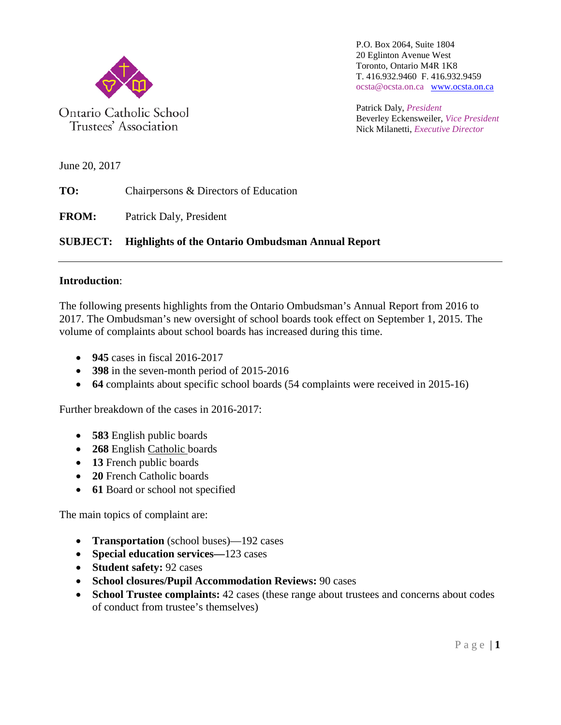

Trustees' Association

P.O. Box 2064, Suite 1804 20 Eglinton Avenue West Toronto, Ontario M4R 1K8 T. 416.932.9460 F. 416.932.9459 ocsta@ocsta.on.ca [www.ocsta.on.ca](http://www.ocsta.on.ca/)

Patrick Daly, *President* Beverley Eckensweiler, *Vice President* Nick Milanetti, *Executive Director*

June 20, 2017

**TO:** Chairpersons & Directors of Education

**FROM:** Patrick Daly, President

## **SUBJECT: Highlights of the Ontario Ombudsman Annual Report**

## **Introduction**:

The following presents highlights from the Ontario Ombudsman's Annual Report from 2016 to 2017. The Ombudsman's new oversight of school boards took effect on September 1, 2015. The volume of complaints about school boards has increased during this time.

- **945** cases in fiscal 2016-2017
- **398** in the seven-month period of 2015-2016
- **64** complaints about specific school boards (54 complaints were received in 2015-16)

Further breakdown of the cases in 2016-2017:

- **583** English public boards
- **268** English Catholic boards
- **13** French public boards
- **20** French Catholic boards
- **61** Board or school not specified

The main topics of complaint are:

- **Transportation** (school buses)—192 cases
- **Special education services—**123 cases
- **Student safety:** 92 cases
- **School closures/Pupil Accommodation Reviews:** 90 cases
- **School Trustee complaints:** 42 cases (these range about trustees and concerns about codes of conduct from trustee's themselves)